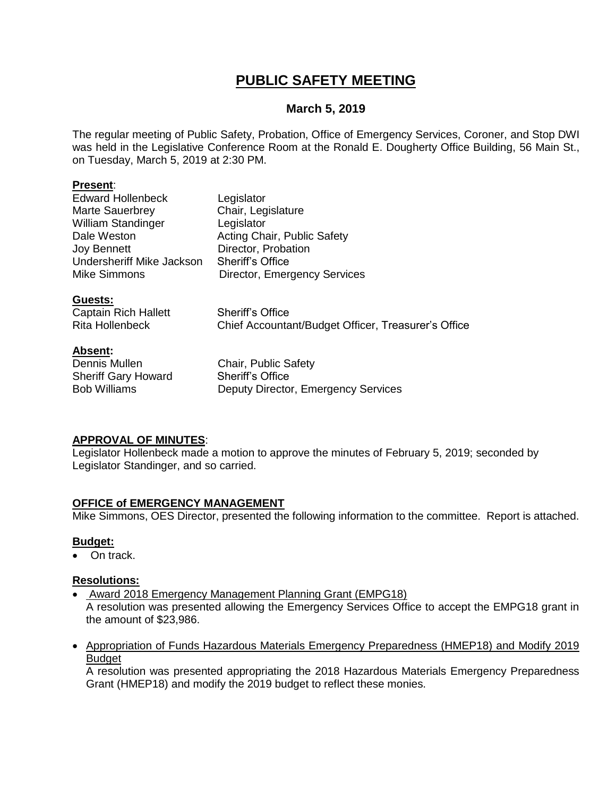# **PUBLIC SAFETY MEETING**

# **March 5, 2019**

The regular meeting of Public Safety, Probation, Office of Emergency Services, Coroner, and Stop DWI was held in the Legislative Conference Room at the Ronald E. Dougherty Office Building, 56 Main St., on Tuesday, March 5, 2019 at 2:30 PM.

#### **Present**:

| <b>Edward Hollenbeck</b>  | Legislator                          |
|---------------------------|-------------------------------------|
| Marte Sauerbrey           | Chair, Legislature                  |
| <b>William Standinger</b> | Legislator                          |
| Dale Weston               | Acting Chair, Public Safety         |
| <b>Joy Bennett</b>        | Director, Probation                 |
| Undersheriff Mike Jackson | <b>Sheriff's Office</b>             |
| <b>Mike Simmons</b>       | <b>Director, Emergency Services</b> |
|                           |                                     |

# **Guests:**

Captain Rich Hallett Sheriff's Office Rita Hollenbeck Chief Accountant/Budget Officer, Treasurer's Office

# **Absent:**

Sheriff Gary Howard Sheriff's Office

Dennis Mullen Chair, Public Safety Bob Williams **Deputy Director, Emergency Services** 

# **APPROVAL OF MINUTES**:

Legislator Hollenbeck made a motion to approve the minutes of February 5, 2019; seconded by Legislator Standinger, and so carried.

# **OFFICE of EMERGENCY MANAGEMENT**

Mike Simmons, OES Director, presented the following information to the committee. Report is attached.

# **Budget:**

On track.

# **Resolutions:**

Award 2018 Emergency Management Planning Grant (EMPG18)

A resolution was presented allowing the Emergency Services Office to accept the EMPG18 grant in the amount of \$23,986.

 Appropriation of Funds Hazardous Materials Emergency Preparedness (HMEP18) and Modify 2019 **Budget** 

A resolution was presented appropriating the 2018 Hazardous Materials Emergency Preparedness Grant (HMEP18) and modify the 2019 budget to reflect these monies.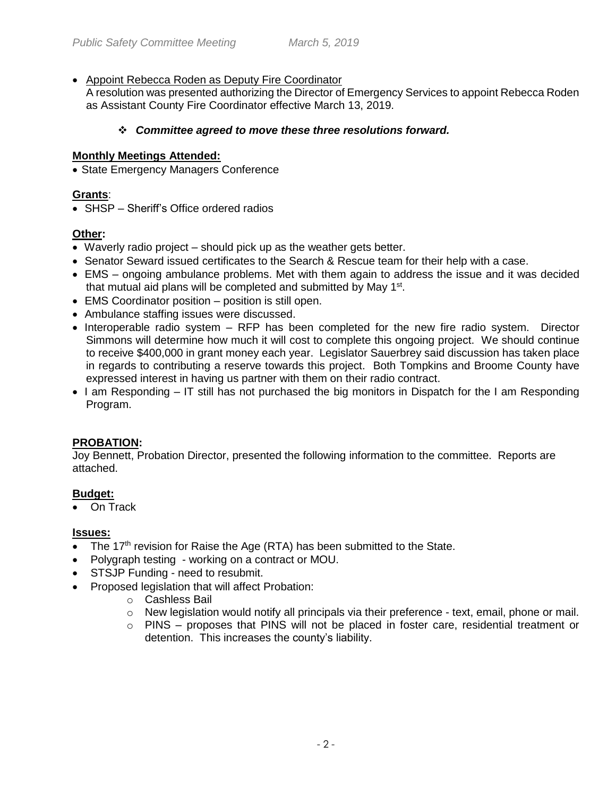# Appoint Rebecca Roden as Deputy Fire Coordinator

A resolution was presented authorizing the Director of Emergency Services to appoint Rebecca Roden as Assistant County Fire Coordinator effective March 13, 2019.

# *Committee agreed to move these three resolutions forward.*

# **Monthly Meetings Attended:**

• State Emergency Managers Conference

# **Grants**:

• SHSP – Sheriff's Office ordered radios

# **Other:**

- Waverly radio project should pick up as the weather gets better.
- Senator Seward issued certificates to the Search & Rescue team for their help with a case.
- EMS ongoing ambulance problems. Met with them again to address the issue and it was decided that mutual aid plans will be completed and submitted by May 1<sup>st</sup>.
- EMS Coordinator position position is still open.
- Ambulance staffing issues were discussed.
- $\bullet$  Interoperable radio system  $-$  RFP has been completed for the new fire radio system. Director Simmons will determine how much it will cost to complete this ongoing project. We should continue to receive \$400,000 in grant money each year. Legislator Sauerbrey said discussion has taken place in regards to contributing a reserve towards this project. Both Tompkins and Broome County have expressed interest in having us partner with them on their radio contract.
- $\bullet$  I am Responding IT still has not purchased the big monitors in Dispatch for the I am Responding Program.

# **PROBATION:**

Joy Bennett, Probation Director, presented the following information to the committee. Reports are attached.

# **Budget:**

On Track

#### **Issues:**

- $\bullet$  The 17<sup>th</sup> revision for Raise the Age (RTA) has been submitted to the State.
- Polygraph testing working on a contract or MOU.
- STSJP Funding need to resubmit.
- Proposed legislation that will affect Probation:
	- o Cashless Bail
	- $\circ$  New legislation would notify all principals via their preference text, email, phone or mail.
	- o PINS proposes that PINS will not be placed in foster care, residential treatment or detention. This increases the county's liability.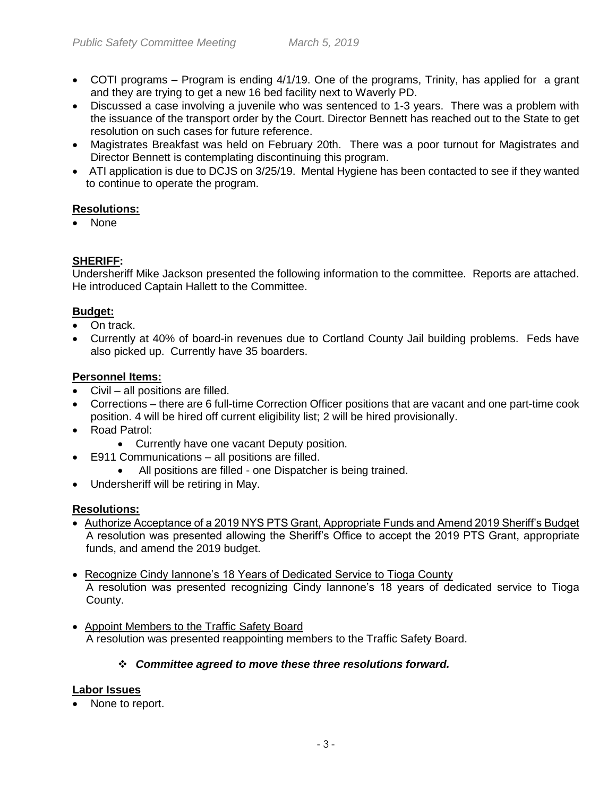- COTI programs Program is ending 4/1/19. One of the programs, Trinity, has applied for a grant and they are trying to get a new 16 bed facility next to Waverly PD.
- Discussed a case involving a juvenile who was sentenced to 1-3 years. There was a problem with the issuance of the transport order by the Court. Director Bennett has reached out to the State to get resolution on such cases for future reference.
- Magistrates Breakfast was held on February 20th. There was a poor turnout for Magistrates and Director Bennett is contemplating discontinuing this program.
- ATI application is due to DCJS on 3/25/19. Mental Hygiene has been contacted to see if they wanted to continue to operate the program.

# **Resolutions:**

• None

# **SHERIFF:**

Undersheriff Mike Jackson presented the following information to the committee. Reports are attached. He introduced Captain Hallett to the Committee.

#### **Budget:**

- On track.
- Currently at 40% of board-in revenues due to Cortland County Jail building problems. Feds have also picked up. Currently have 35 boarders.

# **Personnel Items:**

- Civil all positions are filled.
- Corrections there are 6 full-time Correction Officer positions that are vacant and one part-time cook position. 4 will be hired off current eligibility list; 2 will be hired provisionally.
- Road Patrol:
	- Currently have one vacant Deputy position.
- E911 Communications all positions are filled.
	- All positions are filled one Dispatcher is being trained.
- Undersheriff will be retiring in May.

# **Resolutions:**

- Authorize Acceptance of a 2019 NYS PTS Grant, Appropriate Funds and Amend 2019 Sheriff's Budget A resolution was presented allowing the Sheriff's Office to accept the 2019 PTS Grant, appropriate funds, and amend the 2019 budget.
- Recognize Cindy Iannone's 18 Years of Dedicated Service to Tioga County A resolution was presented recognizing Cindy Iannone's 18 years of dedicated service to Tioga County.
- Appoint Members to the Traffic Safety Board A resolution was presented reappointing members to the Traffic Safety Board.

# *Committee agreed to move these three resolutions forward.*

# **Labor Issues**

• None to report.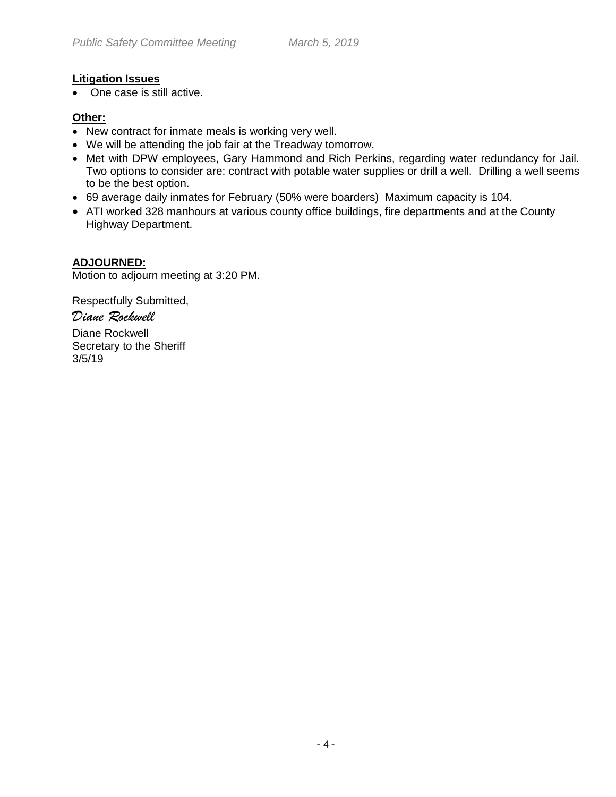# **Litigation Issues**

• One case is still active.

# **Other:**

- New contract for inmate meals is working very well.
- We will be attending the job fair at the Treadway tomorrow.
- Met with DPW employees, Gary Hammond and Rich Perkins, regarding water redundancy for Jail. Two options to consider are: contract with potable water supplies or drill a well. Drilling a well seems to be the best option.
- 69 average daily inmates for February (50% were boarders) Maximum capacity is 104.
- ATI worked 328 manhours at various county office buildings, fire departments and at the County Highway Department.

# **ADJOURNED:**

Motion to adjourn meeting at 3:20 PM.

Respectfully Submitted,

# *Diane Rockwell*

Diane Rockwell Secretary to the Sheriff 3/5/19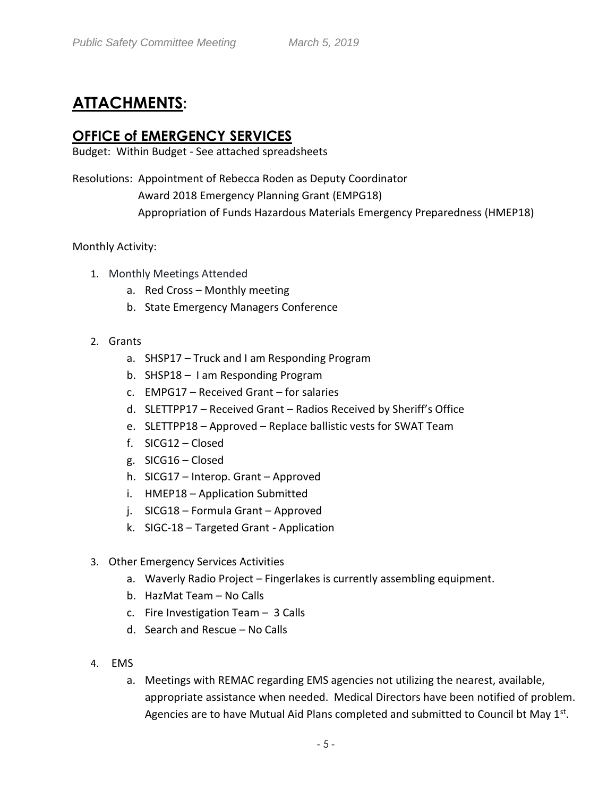# **ATTACHMENTS:**

# **OFFICE of EMERGENCY SERVICES**

Budget: Within Budget - See attached spreadsheets

Resolutions: Appointment of Rebecca Roden as Deputy Coordinator Award 2018 Emergency Planning Grant (EMPG18) Appropriation of Funds Hazardous Materials Emergency Preparedness (HMEP18)

# Monthly Activity:

- 1. Monthly Meetings Attended
	- a. Red Cross Monthly meeting
	- b. State Emergency Managers Conference
- 2. Grants
	- a. SHSP17 Truck and I am Responding Program
	- b. SHSP18 I am Responding Program
	- c. EMPG17 Received Grant for salaries
	- d. SLETTPP17 Received Grant Radios Received by Sheriff's Office
	- e. SLETTPP18 Approved Replace ballistic vests for SWAT Team
	- f. SICG12 Closed
	- g. SICG16 Closed
	- h. SICG17 Interop. Grant Approved
	- i. HMEP18 Application Submitted
	- j. SICG18 Formula Grant Approved
	- k. SIGC-18 Targeted Grant Application
- 3. Other Emergency Services Activities
	- a. Waverly Radio Project Fingerlakes is currently assembling equipment.
	- b. HazMat Team No Calls
	- c. Fire Investigation Team 3 Calls
	- d. Search and Rescue No Calls
- 4. EMS
	- a. Meetings with REMAC regarding EMS agencies not utilizing the nearest, available, appropriate assistance when needed. Medical Directors have been notified of problem. Agencies are to have Mutual Aid Plans completed and submitted to Council bt May 1<sup>st</sup>.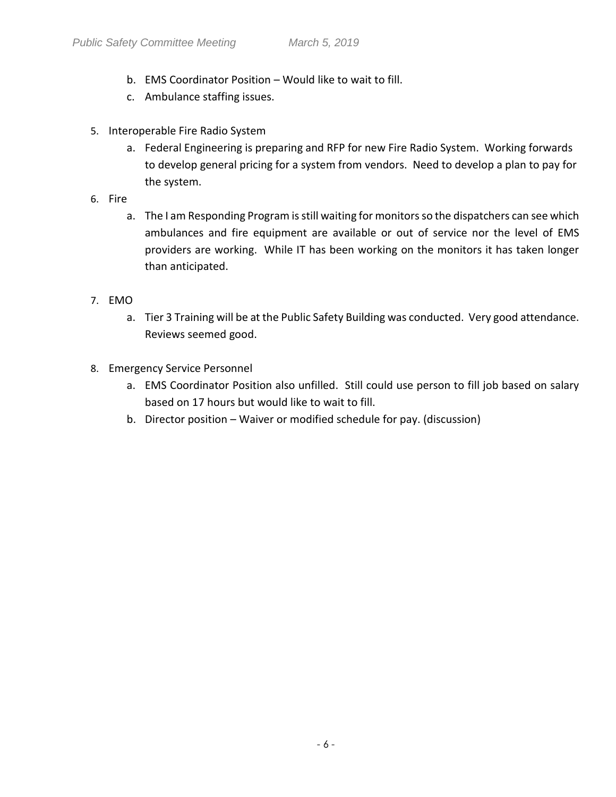- b. EMS Coordinator Position Would like to wait to fill.
- c. Ambulance staffing issues.
- 5. Interoperable Fire Radio System
	- a. Federal Engineering is preparing and RFP for new Fire Radio System. Working forwards to develop general pricing for a system from vendors. Need to develop a plan to pay for the system.
- 6. Fire
	- a. The I am Responding Program is still waiting for monitors so the dispatchers can see which ambulances and fire equipment are available or out of service nor the level of EMS providers are working. While IT has been working on the monitors it has taken longer than anticipated.
- 7. EMO
	- a. Tier 3 Training will be at the Public Safety Building was conducted. Very good attendance. Reviews seemed good.
- 8. Emergency Service Personnel
	- a. EMS Coordinator Position also unfilled. Still could use person to fill job based on salary based on 17 hours but would like to wait to fill.
	- b. Director position Waiver or modified schedule for pay. (discussion)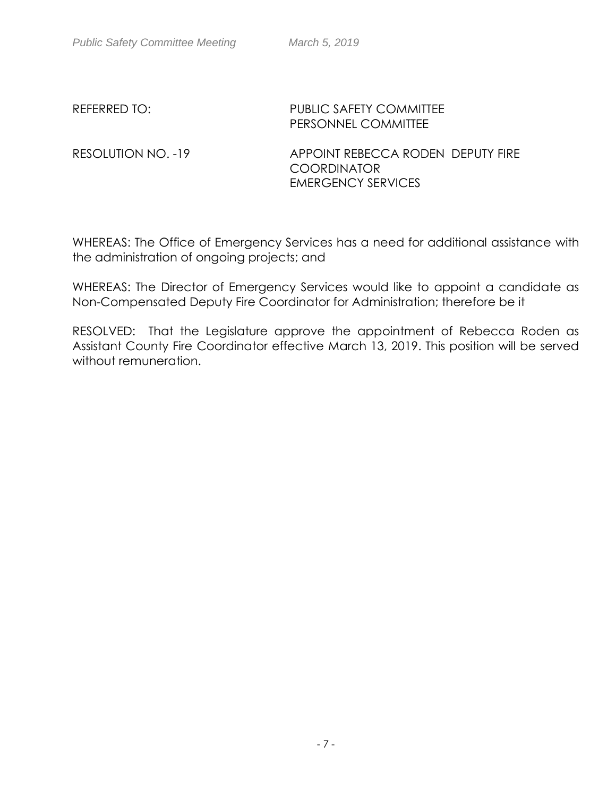# REFERRED TO: PUBLIC SAFETY COMMITTEE PERSONNEL COMMITTEE

RESOLUTION NO. -19 APPOINT REBECCA RODEN DEPUTY FIRE **COORDINATOR** EMERGENCY SERVICES

WHEREAS: The Office of Emergency Services has a need for additional assistance with the administration of ongoing projects; and

WHEREAS: The Director of Emergency Services would like to appoint a candidate as Non-Compensated Deputy Fire Coordinator for Administration; therefore be it

RESOLVED: That the Legislature approve the appointment of Rebecca Roden as Assistant County Fire Coordinator effective March 13, 2019. This position will be served without remuneration.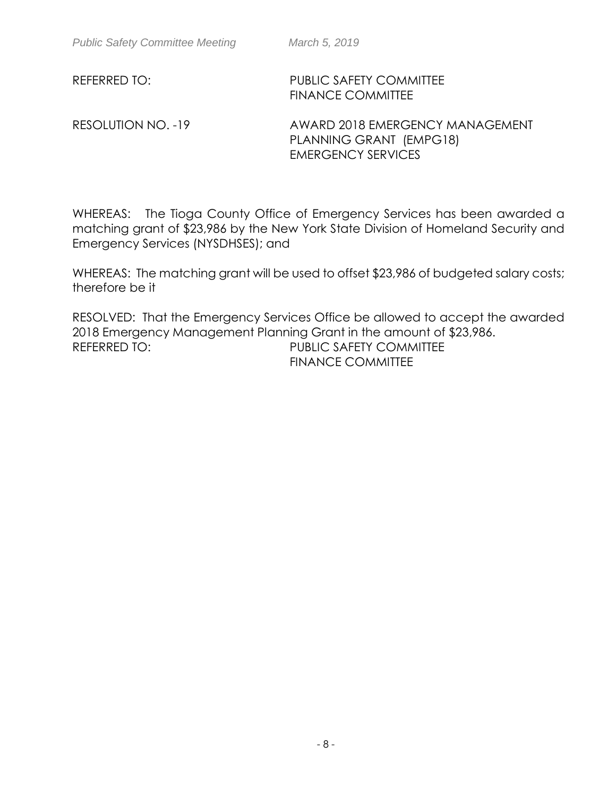REFERRED TO: PUBLIC SAFETY COMMITTEE FINANCE COMMITTEE

RESOLUTION NO. -19 AWARD 2018 EMERGENCY MANAGEMENT PLANNING GRANT (EMPG18) EMERGENCY SERVICES

WHEREAS: The Tioga County Office of Emergency Services has been awarded a matching grant of \$23,986 by the New York State Division of Homeland Security and Emergency Services (NYSDHSES); and

WHEREAS: The matching grant will be used to offset \$23,986 of budgeted salary costs; therefore be it

RESOLVED: That the Emergency Services Office be allowed to accept the awarded 2018 Emergency Management Planning Grant in the amount of \$23,986. REFERRED TO: PUBLIC SAFETY COMMITTEE

FINANCE COMMITTEE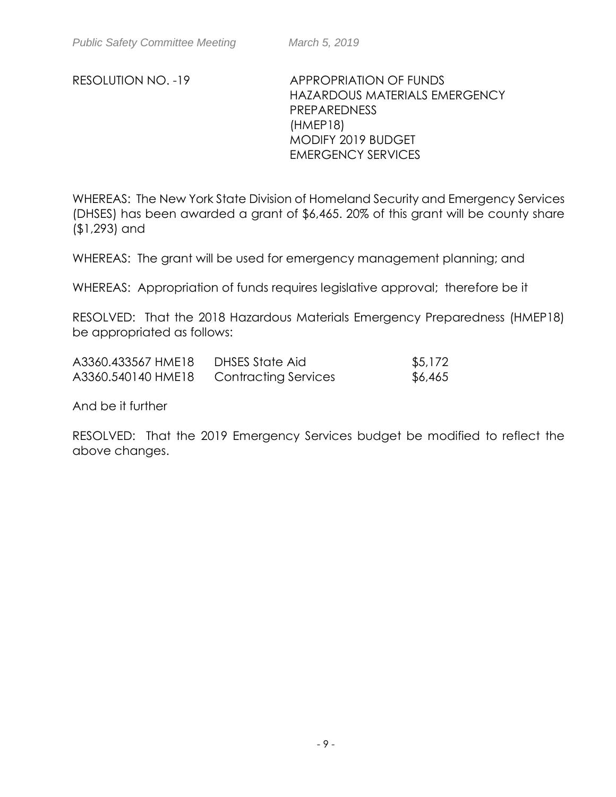RESOLUTION NO. -19 APPROPRIATION OF FUNDS HAZARDOUS MATERIALS EMERGENCY PREPAREDNESS (HMEP18) MODIFY 2019 BUDGET EMERGENCY SERVICES

WHEREAS: The New York State Division of Homeland Security and Emergency Services (DHSES) has been awarded a grant of \$6,465. 20% of this grant will be county share (\$1,293) and

WHEREAS: The grant will be used for emergency management planning; and

WHEREAS: Appropriation of funds requires legislative approval; therefore be it

RESOLVED: That the 2018 Hazardous Materials Emergency Preparedness (HMEP18) be appropriated as follows:

| A3360.433567 HME18 | DHSES State Aid             | \$5,172 |
|--------------------|-----------------------------|---------|
| A3360.540140 HME18 | <b>Contracting Services</b> | \$6,465 |

And be it further

RESOLVED: That the 2019 Emergency Services budget be modified to reflect the above changes.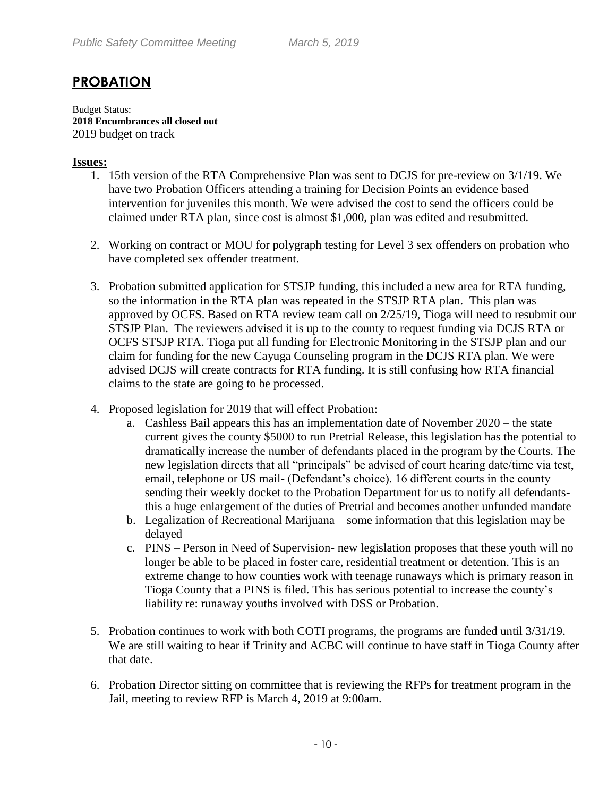# **PROBATION**

Budget Status: **2018 Encumbrances all closed out**  2019 budget on track

# **Issues:**

- 1. 15th version of the RTA Comprehensive Plan was sent to DCJS for pre-review on 3/1/19. We have two Probation Officers attending a training for Decision Points an evidence based intervention for juveniles this month. We were advised the cost to send the officers could be claimed under RTA plan, since cost is almost \$1,000, plan was edited and resubmitted.
- 2. Working on contract or MOU for polygraph testing for Level 3 sex offenders on probation who have completed sex offender treatment.
- 3. Probation submitted application for STSJP funding, this included a new area for RTA funding, so the information in the RTA plan was repeated in the STSJP RTA plan. This plan was approved by OCFS. Based on RTA review team call on 2/25/19, Tioga will need to resubmit our STSJP Plan. The reviewers advised it is up to the county to request funding via DCJS RTA or OCFS STSJP RTA. Tioga put all funding for Electronic Monitoring in the STSJP plan and our claim for funding for the new Cayuga Counseling program in the DCJS RTA plan. We were advised DCJS will create contracts for RTA funding. It is still confusing how RTA financial claims to the state are going to be processed.
- 4. Proposed legislation for 2019 that will effect Probation:
	- a. Cashless Bail appears this has an implementation date of November 2020 the state current gives the county \$5000 to run Pretrial Release, this legislation has the potential to dramatically increase the number of defendants placed in the program by the Courts. The new legislation directs that all "principals" be advised of court hearing date/time via test, email, telephone or US mail- (Defendant's choice). 16 different courts in the county sending their weekly docket to the Probation Department for us to notify all defendantsthis a huge enlargement of the duties of Pretrial and becomes another unfunded mandate
	- b. Legalization of Recreational Marijuana some information that this legislation may be delayed
	- c. PINS Person in Need of Supervision- new legislation proposes that these youth will no longer be able to be placed in foster care, residential treatment or detention. This is an extreme change to how counties work with teenage runaways which is primary reason in Tioga County that a PINS is filed. This has serious potential to increase the county's liability re: runaway youths involved with DSS or Probation.
- 5. Probation continues to work with both COTI programs, the programs are funded until 3/31/19. We are still waiting to hear if Trinity and ACBC will continue to have staff in Tioga County after that date.
- 6. Probation Director sitting on committee that is reviewing the RFPs for treatment program in the Jail, meeting to review RFP is March 4, 2019 at 9:00am.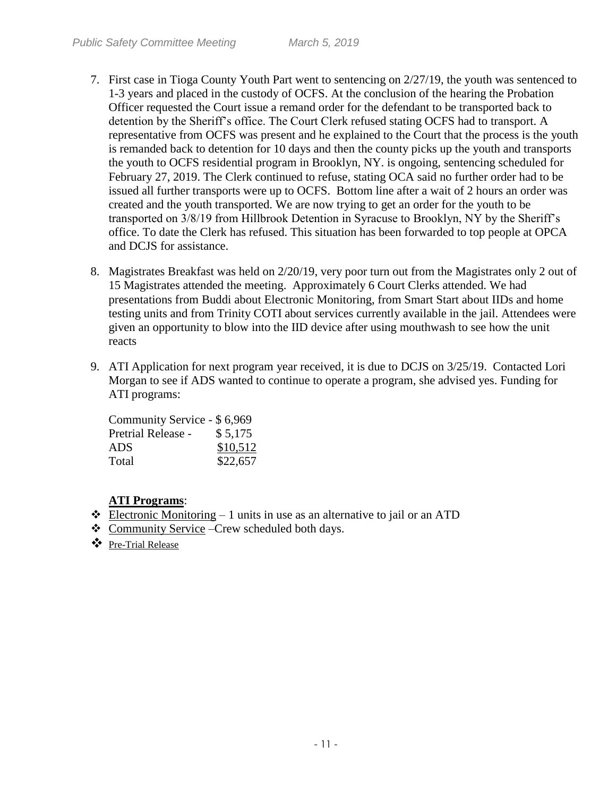- 7. First case in Tioga County Youth Part went to sentencing on 2/27/19, the youth was sentenced to 1-3 years and placed in the custody of OCFS. At the conclusion of the hearing the Probation Officer requested the Court issue a remand order for the defendant to be transported back to detention by the Sheriff's office. The Court Clerk refused stating OCFS had to transport. A representative from OCFS was present and he explained to the Court that the process is the youth is remanded back to detention for 10 days and then the county picks up the youth and transports the youth to OCFS residential program in Brooklyn, NY. is ongoing, sentencing scheduled for February 27, 2019. The Clerk continued to refuse, stating OCA said no further order had to be issued all further transports were up to OCFS. Bottom line after a wait of 2 hours an order was created and the youth transported. We are now trying to get an order for the youth to be transported on 3/8/19 from Hillbrook Detention in Syracuse to Brooklyn, NY by the Sheriff's office. To date the Clerk has refused. This situation has been forwarded to top people at OPCA and DCJS for assistance.
- 8. Magistrates Breakfast was held on 2/20/19, very poor turn out from the Magistrates only 2 out of 15 Magistrates attended the meeting. Approximately 6 Court Clerks attended. We had presentations from Buddi about Electronic Monitoring, from Smart Start about IIDs and home testing units and from Trinity COTI about services currently available in the jail. Attendees were given an opportunity to blow into the IID device after using mouthwash to see how the unit reacts
- 9. ATI Application for next program year received, it is due to DCJS on 3/25/19. Contacted Lori Morgan to see if ADS wanted to continue to operate a program, she advised yes. Funding for ATI programs:

| Community Service - \$6,969 |          |
|-----------------------------|----------|
| <b>Pretrial Release -</b>   | \$5,175  |
| ADS                         | \$10,512 |
| Total                       | \$22,657 |

# **ATI Programs**:

- $\triangleleft$  Electronic Monitoring 1 units in use as an alternative to jail or an ATD
- Community Service –Crew scheduled both days.
- Pre-Trial Release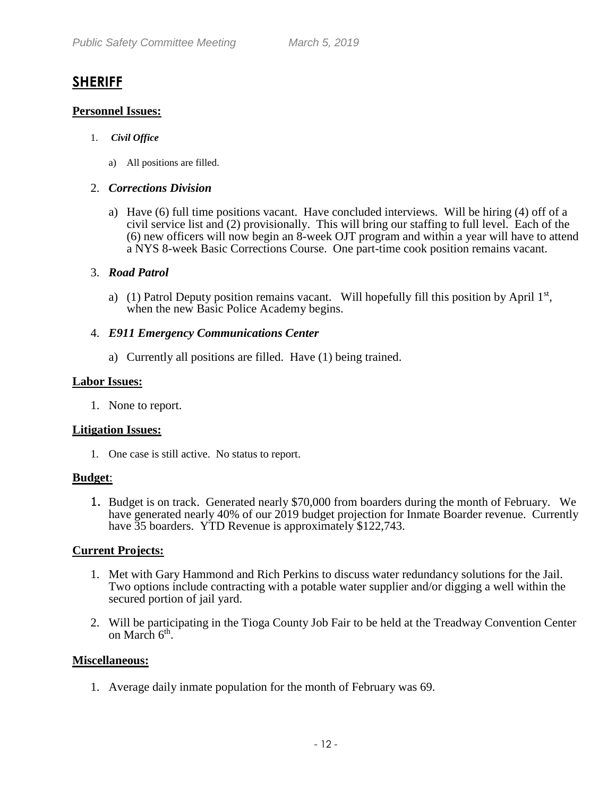# **SHERIFF**

# **Personnel Issues:**

### 1. *Civil Office*

a) All positions are filled.

### 2. *Corrections Division*

a) Have (6) full time positions vacant. Have concluded interviews. Will be hiring (4) off of a civil service list and (2) provisionally. This will bring our staffing to full level. Each of the (6) new officers will now begin an 8-week OJT program and within a year will have to attend a NYS 8-week Basic Corrections Course. One part-time cook position remains vacant.

# 3. *Road Patrol*

a) (1) Patrol Deputy position remains vacant. Will hopefully fill this position by April  $1<sup>st</sup>$ , when the new Basic Police Academy begins.

# 4. *E911 Emergency Communications Center*

a) Currently all positions are filled. Have (1) being trained.

#### **Labor Issues:**

1. None to report.

# **Litigation Issues:**

1. One case is still active. No status to report.

#### **Budget**:

1. Budget is on track. Generated nearly \$70,000 from boarders during the month of February. We have generated nearly 40% of our 2019 budget projection for Inmate Boarder revenue. Currently have 35 boarders. YTD Revenue is approximately \$122,743.

# **Current Projects:**

- 1. Met with Gary Hammond and Rich Perkins to discuss water redundancy solutions for the Jail. Two options include contracting with a potable water supplier and/or digging a well within the secured portion of jail yard.
- 2. Will be participating in the Tioga County Job Fair to be held at the Treadway Convention Center on March 6<sup>th</sup>.

# **Miscellaneous:**

1. Average daily inmate population for the month of February was 69.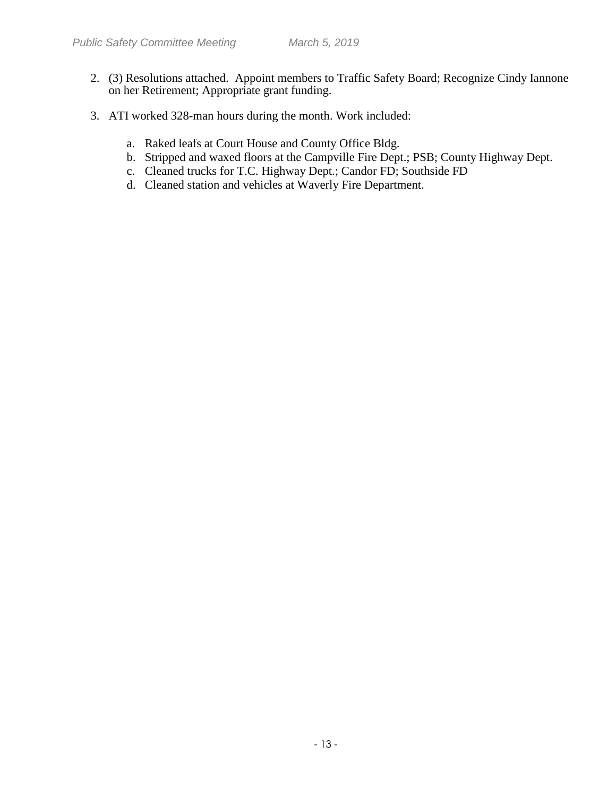- 2. (3) Resolutions attached. Appoint members to Traffic Safety Board; Recognize Cindy Iannone on her Retirement; Appropriate grant funding.
- 3. ATI worked 328-man hours during the month. Work included:
	- a. Raked leafs at Court House and County Office Bldg.
	- b. Stripped and waxed floors at the Campville Fire Dept.; PSB; County Highway Dept.
	- c. Cleaned trucks for T.C. Highway Dept.; Candor FD; Southside FD
	- d. Cleaned station and vehicles at Waverly Fire Department.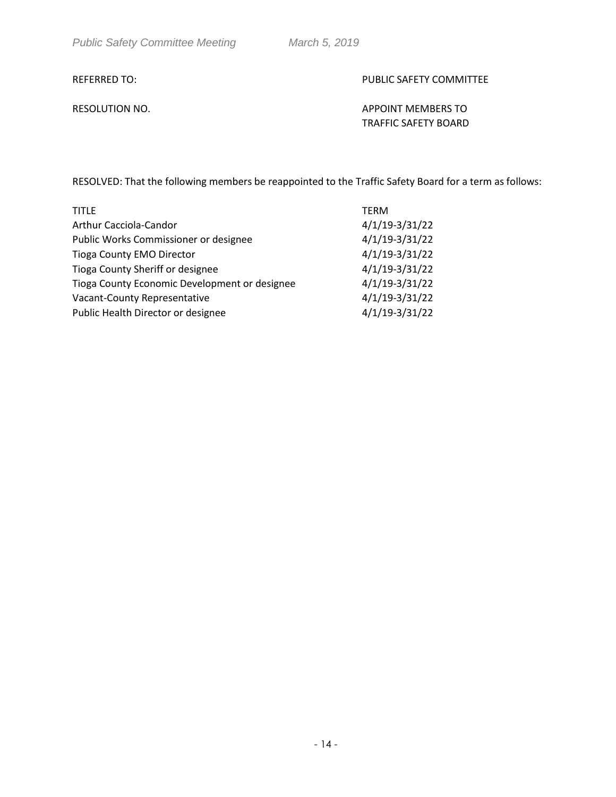#### REFERRED TO: The state of the state of the public safety committee

RESOLUTION NO. APPOINT MEMBERS TO TRAFFIC SAFETY BOARD

RESOLVED: That the following members be reappointed to the Traffic Safety Board for a term as follows:

| <b>TITLE</b>                                  | <b>TERM</b>      |
|-----------------------------------------------|------------------|
| Arthur Cacciola-Candor                        | $4/1/19-3/31/22$ |
| Public Works Commissioner or designee         | $4/1/19-3/31/22$ |
| <b>Tioga County EMO Director</b>              | $4/1/19-3/31/22$ |
| Tioga County Sheriff or designee              | $4/1/19-3/31/22$ |
| Tioga County Economic Development or designee | $4/1/19-3/31/22$ |
| Vacant-County Representative                  | $4/1/19-3/31/22$ |
| Public Health Director or designee            | $4/1/19-3/31/22$ |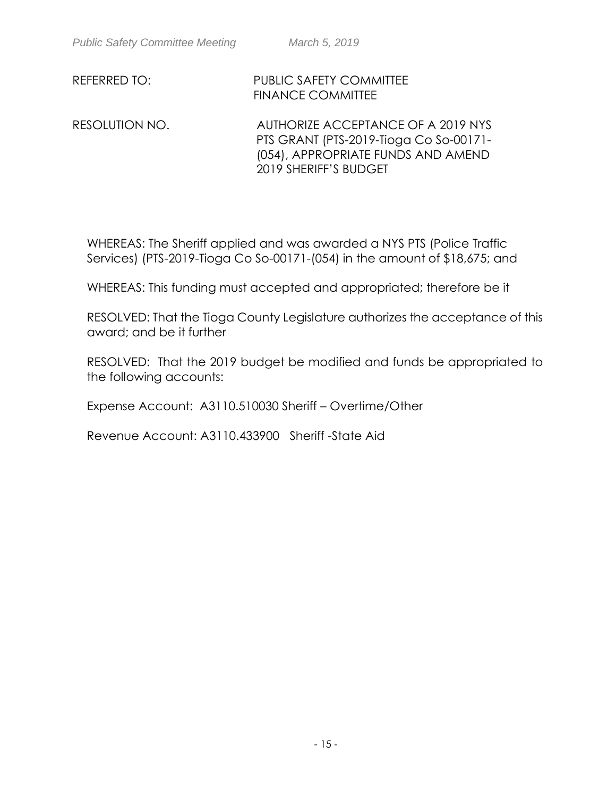REFERRED TO: PUBLIC SAFETY COMMITTEE FINANCE COMMITTEE

RESOLUTION NO. AUTHORIZE ACCEPTANCE OF A 2019 NYS PTS GRANT (PTS-2019-Tioga Co So-00171- (054), APPROPRIATE FUNDS AND AMEND 2019 SHERIFF'S BUDGET

WHEREAS: The Sheriff applied and was awarded a NYS PTS (Police Traffic Services) (PTS-2019-Tioga Co So-00171-(054) in the amount of \$18,675; and

WHEREAS: This funding must accepted and appropriated; therefore be it

RESOLVED: That the Tioga County Legislature authorizes the acceptance of this award; and be it further

RESOLVED: That the 2019 budget be modified and funds be appropriated to the following accounts:

Expense Account: A3110.510030 Sheriff – Overtime/Other

Revenue Account: A3110.433900 Sheriff -State Aid